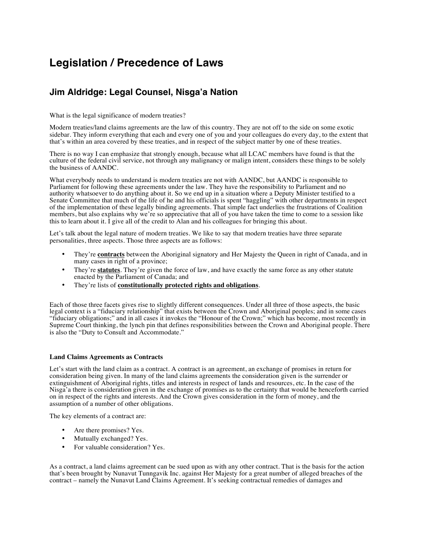# **Legislation / Precedence of Laws**

# **Jim Aldridge: Legal Counsel, Nisga'a Nation**

What is the legal significance of modern treaties?

Modern treaties/land claims agreements are the law of this country. They are not off to the side on some exotic sidebar. They inform everything that each and every one of you and your colleagues do every day, to the extent that that's within an area covered by these treaties, and in respect of the subject matter by one of these treaties.

There is no way I can emphasize that strongly enough, because what all LCAC members have found is that the culture of the federal civil service, not through any malignancy or malign intent, considers these things to be solely the business of AANDC.

What everybody needs to understand is modern treaties are not with AANDC, but AANDC is responsible to Parliament for following these agreements under the law. They have the responsibility to Parliament and no authority whatsoever to do anything about it. So we end up in a situation where a Deputy Minister testified to a Senate Committee that much of the life of he and his officials is spent "haggling" with other departments in respect of the implementation of these legally binding agreements. That simple fact underlies the frustrations of Coalition members, but also explains why we're so appreciative that all of you have taken the time to come to a session like this to learn about it. I give all of the credit to Alan and his colleagues for bringing this about.

Let's talk about the legal nature of modern treaties. We like to say that modern treaties have three separate personalities, three aspects. Those three aspects are as follows:

- They're **contracts** between the Aboriginal signatory and Her Majesty the Queen in right of Canada, and in many cases in right of a province;
- They're **statutes**. They're given the force of law, and have exactly the same force as any other statute enacted by the Parliament of Canada; and
- They're lists of **constitutionally protected rights and obligations**.

Each of those three facets gives rise to slightly different consequences. Under all three of those aspects, the basic legal context is a "fiduciary relationship" that exists between the Crown and Aboriginal peoples; and in some cases "fiduciary obligations;" and in all cases it invokes the "Honour of the Crown;" which has become, most recently in Supreme Court thinking, the lynch pin that defines responsibilities between the Crown and Aboriginal people. There is also the "Duty to Consult and Accommodate."

## **Land Claims Agreements as Contracts**

Let's start with the land claim as a contract. A contract is an agreement, an exchange of promises in return for consideration being given. In many of the land claims agreements the consideration given is the surrender or extinguishment of Aboriginal rights, titles and interests in respect of lands and resources, etc. In the case of the Nisga'a there is consideration given in the exchange of promises as to the certainty that would be henceforth carried on in respect of the rights and interests. And the Crown gives consideration in the form of money, and the assumption of a number of other obligations.

The key elements of a contract are:

- Are there promises? Yes.
- Mutually exchanged? Yes.
- For valuable consideration? Yes.

As a contract, a land claims agreement can be sued upon as with any other contract. That is the basis for the action that's been brought by Nunavut Tunngavik Inc. against Her Majesty for a great number of alleged breaches of the contract – namely the Nunavut Land Claims Agreement. It's seeking contractual remedies of damages and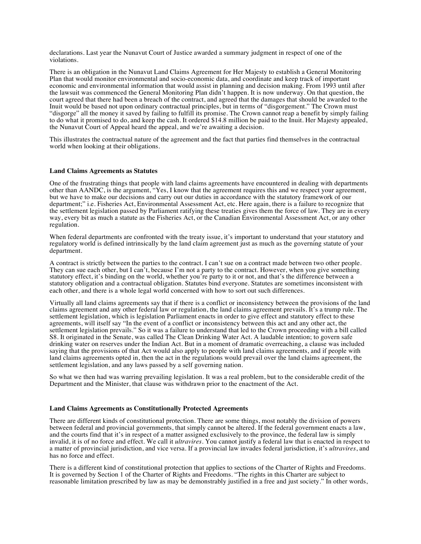declarations. Last year the Nunavut Court of Justice awarded a summary judgment in respect of one of the violations.

There is an obligation in the Nunavut Land Claims Agreement for Her Majesty to establish a General Monitoring Plan that would monitor environmental and socio-economic data, and coordinate and keep track of important economic and environmental information that would assist in planning and decision making. From 1993 until after the lawsuit was commenced the General Monitoring Plan didn't happen. It is now underway. On that question, the court agreed that there had been a breach of the contract, and agreed that the damages that should be awarded to the Inuit would be based not upon ordinary contractual principles, but in terms of "disgorgement." The Crown must "disgorge" all the money it saved by failing to fulfill its promise. The Crown cannot reap a benefit by simply failing to do what it promised to do, and keep the cash. It ordered \$14.8 million be paid to the Inuit. Her Majesty appealed, the Nunavut Court of Appeal heard the appeal, and we're awaiting a decision.

This illustrates the contractual nature of the agreement and the fact that parties find themselves in the contractual world when looking at their obligations.

### **Land Claims Agreements as Statutes**

One of the frustrating things that people with land claims agreements have encountered in dealing with departments other than AANDC, is the argument, "Yes, I know that the agreement requires this and we respect your agreement, but we have to make our decisions and carry out our duties in accordance with the statutory framework of our department;" i.e. Fisheries Act, Environmental Assessment Act, etc. Here again, there is a failure to recognize that the settlement legislation passed by Parliament ratifying these treaties gives them the force of law. They are in every way, every bit as much a statute as the Fisheries Act, or the Canadian Environmental Assessment Act, or any other regulation.

When federal departments are confronted with the treaty issue, it's important to understand that your statutory and regulatory world is defined intrinsically by the land claim agreement just as much as the governing statute of your department.

A contract is strictly between the parties to the contract. I can't sue on a contract made between two other people. They can sue each other, but I can't, because I'm not a party to the contract. However, when you give something statutory effect, it's binding on the world, whether you're party to it or not, and that's the difference between a statutory obligation and a contractual obligation. Statutes bind everyone. Statutes are sometimes inconsistent with each other, and there is a whole legal world concerned with how to sort out such differences.

Virtually all land claims agreements say that if there is a conflict or inconsistency between the provisions of the land claims agreement and any other federal law or regulation, the land claims agreement prevails. It's a trump rule. The settlement legislation, which is legislation Parliament enacts in order to give effect and statutory effect to these agreements, will itself say "In the event of a conflict or inconsistency between this act and any other act, the settlement legislation prevails." So it was a failure to understand that led to the Crown proceeding with a bill called S8. It originated in the Senate, was called The Clean Drinking Water Act. A laudable intention; to govern safe drinking water on reserves under the Indian Act. But in a moment of dramatic overreaching, a clause was included saying that the provisions of that Act would also apply to people with land claims agreements, and if people with land claims agreements opted in, then the act in the regulations would prevail over the land claims agreement, the settlement legislation, and any laws passed by a self governing nation.

So what we then had was warring prevailing legislation. It was a real problem, but to the considerable credit of the Department and the Minister, that clause was withdrawn prior to the enactment of the Act.

### **Land Claims Agreements as Constitutionally Protected Agreements**

There are different kinds of constitutional protection. There are some things, most notably the division of powers between federal and provincial governments, that simply cannot be altered. If the federal government enacts a law, and the courts find that it's in respect of a matter assigned exclusively to the province, the federal law is simply invalid, it is of no force and effect. We call it *ultravires.* You cannot justify a federal law that is enacted in respect to a matter of provincial jurisdiction, and vice versa. If a provincial law invades federal jurisdiction, it's *ultravires*, and has no force and effect.

There is a different kind of constitutional protection that applies to sections of the Charter of Rights and Freedoms. It is governed by Section 1 of the Charter of Rights and Freedoms. "The rights in this Charter are subject to reasonable limitation prescribed by law as may be demonstrably justified in a free and just society." In other words,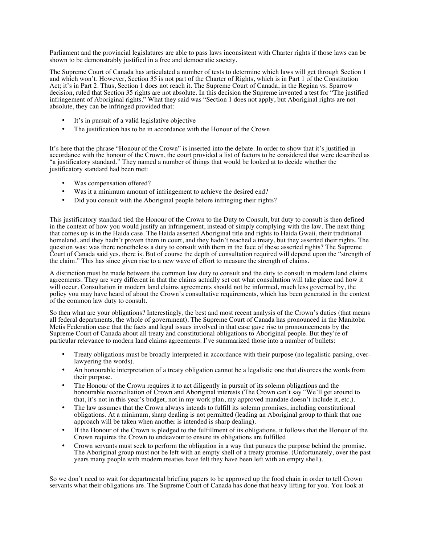Parliament and the provincial legislatures are able to pass laws inconsistent with Charter rights if those laws can be shown to be demonstrably justified in a free and democratic society.

The Supreme Court of Canada has articulated a number of tests to determine which laws will get through Section 1 and which won't. However, Section 35 is not part of the Charter of Rights, which is in Part 1 of the Constitution Act; it's in Part 2. Thus, Section 1 does not reach it. The Supreme Court of Canada, in the Regina vs. Sparrow decision, ruled that Section 35 rights are not absolute. In this decision the Supreme invented a test for "The justified infringement of Aboriginal rights." What they said was "Section 1 does not apply, but Aboriginal rights are not absolute, they can be infringed provided that:

- It's in pursuit of a valid legislative objective
- The justification has to be in accordance with the Honour of the Crown

It's here that the phrase "Honour of the Crown" is inserted into the debate. In order to show that it's justified in accordance with the honour of the Crown, the court provided a list of factors to be considered that were described as "a justificatory standard." They named a number of things that would be looked at to decide whether the justificatory standard had been met:

- Was compensation offered?
- Was it a minimum amount of infringement to achieve the desired end?
- Did you consult with the Aboriginal people before infringing their rights?

This justificatory standard tied the Honour of the Crown to the Duty to Consult, but duty to consult is then defined in the context of how you would justify an infringement, instead of simply complying with the law. The next thing that comes up is in the Haida case. The Haida asserted Aboriginal title and rights to Haida Gwaii, their traditional homeland, and they hadn't proven them in court, and they hadn't reached a treaty, but they asserted their rights. The question was: was there nonetheless a duty to consult with them in the face of these asserted rights? The Supreme Court of Canada said yes, there is. But of course the depth of consultation required will depend upon the "strength of the claim." This has since given rise to a new wave of effort to measure the strength of claims.

A distinction must be made between the common law duty to consult and the duty to consult in modern land claims agreements. They are very different in that the claims actually set out what consultation will take place and how it will occur. Consultation in modern land claims agreements should not be informed, much less governed by, the policy you may have heard of about the Crown's consultative requirements, which has been generated in the context of the common law duty to consult.

So then what are your obligations? Interestingly, the best and most recent analysis of the Crown's duties (that means all federal departments, the whole of government). The Supreme Court of Canada has pronounced in the Manitoba Metis Federation case that the facts and legal issues involved in that case gave rise to pronouncements by the Supreme Court of Canada about all treaty and constitutional obligations to Aboriginal people. But they're of particular relevance to modern land claims agreements. I've summarized those into a number of bullets:

- Treaty obligations must be broadly interpreted in accordance with their purpose (no legalistic parsing, overlawyering the words).
- An honourable interpretation of a treaty obligation cannot be a legalistic one that divorces the words from their purpose.
- The Honour of the Crown requires it to act diligently in pursuit of its solemn obligations and the honourable reconciliation of Crown and Aboriginal interests (The Crown can't say "We'll get around to that, it's not in this year's budget, not in my work plan, my approved mandate doesn't include it, etc.).
- The law assumes that the Crown always intends to fulfill its solemn promises, including constitutional obligations. At a minimum, sharp dealing is not permitted (leading an Aboriginal group to think that one approach will be taken when another is intended is sharp dealing).
- If the Honour of the Crown is pledged to the fulfillment of its obligations, it follows that the Honour of the Crown requires the Crown to endeavour to ensure its obligations are fulfilled
- Crown servants must seek to perform the obligation in a way that pursues the purpose behind the promise. The Aboriginal group must not be left with an empty shell of a treaty promise. (Unfortunately, over the past years many people with modern treaties have felt they have been left with an empty shell).

So we don't need to wait for departmental briefing papers to be approved up the food chain in order to tell Crown servants what their obligations are. The Supreme Court of Canada has done that heavy lifting for you. You look at